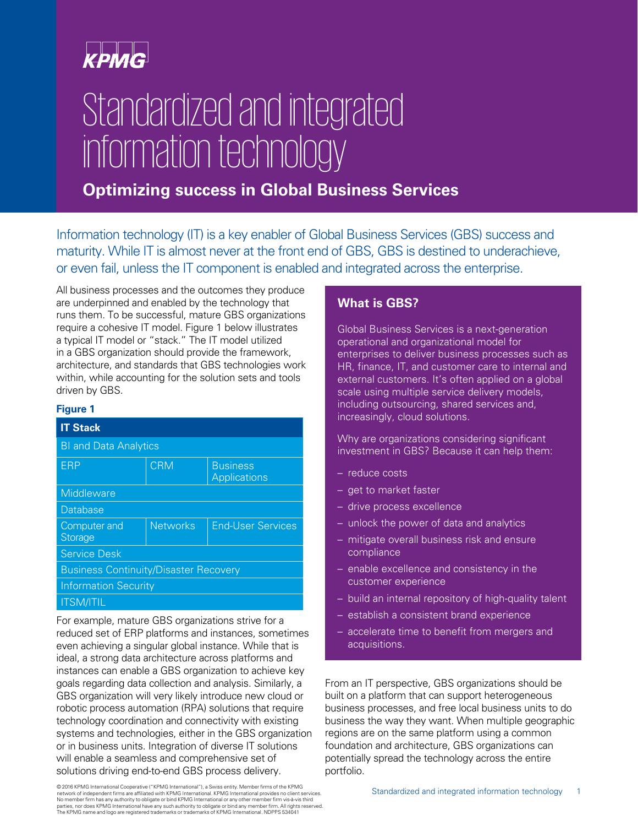# **KPMG**

# Standardized and integrated information technology

### **Optimizing success in Global Business Services**

Information technology (IT) is a key enabler of Global Business Services (GBS) success and maturity. While IT is almost never at the front end of GBS, GBS is destined to underachieve, or even fail, unless the IT component is enabled and integrated across the enterprise.

All business processes and the outcomes they produce are underpinned and enabled by the technology that runs them. To be successful, mature GBS organizations require a cohesive IT model. Figure 1 below illustrates a typical IT model or "stack." The IT model utilized in a GBS organization should provide the framework, architecture, and standards that GBS technologies work within, while accounting for the solution sets and tools driven by GBS.

### **Figure 1**

| <b>IT Stack</b>                              |                 |                                 |
|----------------------------------------------|-----------------|---------------------------------|
| <b>BI and Data Analytics</b>                 |                 |                                 |
| <b>FRP</b>                                   | <b>CRM</b>      | <b>Business</b><br>Applications |
| Middleware                                   |                 |                                 |
| <b>Database</b>                              |                 |                                 |
| Computer and<br><b>Storage</b>               | <b>Networks</b> | <b>Fnd-User Services</b>        |
| <b>Service Desk</b>                          |                 |                                 |
| <b>Business Continuity/Disaster Recovery</b> |                 |                                 |
| <b>Information Security</b>                  |                 |                                 |
| <b>ITSM/ITIL</b>                             |                 |                                 |

For example, mature GBS organizations strive for a reduced set of ERP platforms and instances, sometimes even achieving a singular global instance. While that is ideal, a strong data architecture across platforms and instances can enable a GBS organization to achieve key goals regarding data collection and analysis. Similarly, a GBS organization will very likely introduce new cloud or robotic process automation (RPA) solutions that require technology coordination and connectivity with existing systems and technologies, either in the GBS organization or in business units. Integration of diverse IT solutions will enable a seamless and comprehensive set of solutions driving end-to-end GBS process delivery.

**What is GBS?** 

Global Business Services is a next-generation operational and organizational model for enterprises to deliver business processes such as HR, finance, IT, and customer care to internal and external customers. It's often applied on a global scale using multiple service delivery models, including outsourcing, shared services and, increasingly, cloud solutions.

Why are organizations considering significant investment in GBS? Because it can help them:

- reduce costs
- get to market faster
- drive process excellence
- unlock the power of data and analytics
- mitigate overall business risk and ensure compliance
- enable excellence and consistency in the customer experience
- build an internal repository of high-quality talent
- establish a consistent brand experience
- accelerate time to benefit from mergers and acquisitions.

From an IT perspective, GBS organizations should be built on a platform that can support heterogeneous business processes, and free local business units to do business the way they want. When multiple geographic regions are on the same platform using a common foundation and architecture, GBS organizations can potentially spread the technology across the entire portfolio.

© 2016 KPMG International Cooperative ("KPMG International"), a Swiss entity. Member firms of the KPMG<br>network of independent firms are affiliated with KPMG International. KPMG International provides no client services. No member firm has any authority to obligate or bind KPMG International or any other member firm vis-à-vis third<br>parties, nor does KPMG International have any such authority to obligate or bind any member firm. All rights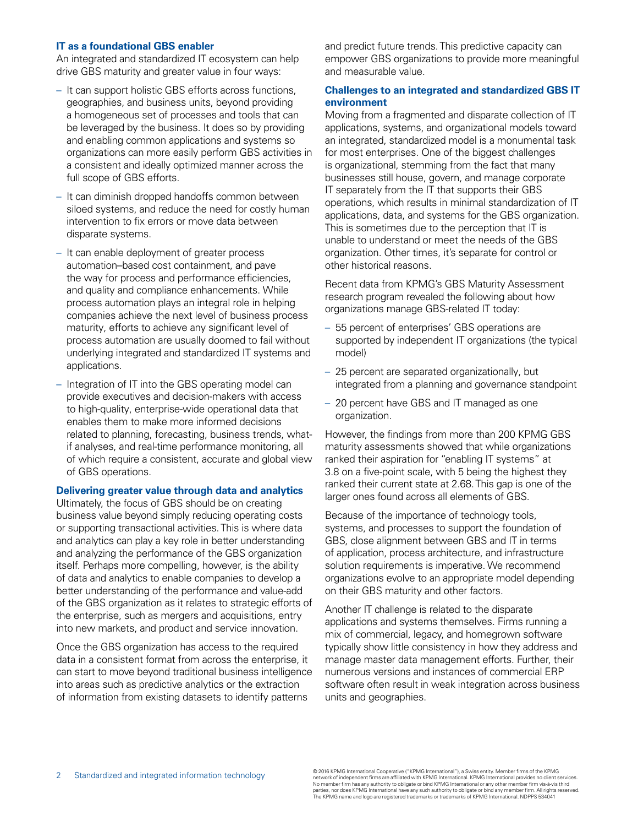### **IT as a foundational GBS enabler**

An integrated and standardized IT ecosystem can help drive GBS maturity and greater value in four ways:

- It can support holistic GBS efforts across functions, geographies, and business units, beyond providing a homogeneous set of processes and tools that can be leveraged by the business. It does so by providing and enabling common applications and systems so organizations can more easily perform GBS activities in a consistent and ideally optimized manner across the full scope of GBS efforts.
- It can diminish dropped handoffs common between siloed systems, and reduce the need for costly human intervention to fix errors or move data between disparate systems.
- It can enable deployment of greater process automation–based cost containment, and pave the way for process and performance efficiencies, and quality and compliance enhancements. While process automation plays an integral role in helping companies achieve the next level of business process maturity, efforts to achieve any significant level of process automation are usually doomed to fail without underlying integrated and standardized IT systems and applications.
- Integration of IT into the GBS operating model can provide executives and decision-makers with access to high-quality, enterprise-wide operational data that enables them to make more informed decisions related to planning, forecasting, business trends, whatif analyses, and real-time performance monitoring, all of which require a consistent, accurate and global view of GBS operations.

### **Delivering greater value through data and analytics**

Ultimately, the focus of GBS should be on creating business value beyond simply reducing operating costs or supporting transactional activities. This is where data and analytics can play a key role in better understanding and analyzing the performance of the GBS organization itself. Perhaps more compelling, however, is the ability of data and analytics to enable companies to develop a better understanding of the performance and value-add of the GBS organization as it relates to strategic efforts of the enterprise, such as mergers and acquisitions, entry into new markets, and product and service innovation.

Once the GBS organization has access to the required data in a consistent format from across the enterprise, it can start to move beyond traditional business intelligence into areas such as predictive analytics or the extraction of information from existing datasets to identify patterns

and predict future trends. This predictive capacity can empower GBS organizations to provide more meaningful and measurable value.

### **Challenges to an integrated and standardized GBS IT environment**

Moving from a fragmented and disparate collection of IT applications, systems, and organizational models toward an integrated, standardized model is a monumental task for most enterprises. One of the biggest challenges is organizational, stemming from the fact that many businesses still house, govern, and manage corporate IT separately from the IT that supports their GBS operations, which results in minimal standardization of IT applications, data, and systems for the GBS organization. This is sometimes due to the perception that IT is unable to understand or meet the needs of the GBS organization. Other times, it's separate for control or other historical reasons.

Recent data from KPMG's GBS Maturity Assessment research program revealed the following about how organizations manage GBS-related IT today:

- 55 percent of enterprises' GBS operations are supported by independent IT organizations (the typical model)
- 25 percent are separated organizationally, but integrated from a planning and governance standpoint
- 20 percent have GBS and IT managed as one organization.

However, the findings from more than 200 KPMG GBS maturity assessments showed that while organizations ranked their aspiration for "enabling IT systems" at 3.8 on a five-point scale, with 5 being the highest they ranked their current state at 2.68. This gap is one of the larger ones found across all elements of GBS.

Because of the importance of technology tools, systems, and processes to support the foundation of GBS, close alignment between GBS and IT in terms of application, process architecture, and infrastructure solution requirements is imperative. We recommend organizations evolve to an appropriate model depending on their GBS maturity and other factors.

Another IT challenge is related to the disparate applications and systems themselves. Firms running a mix of commercial, legacy, and homegrown software typically show little consistency in how they address and manage master data management efforts. Further, their numerous versions and instances of commercial ERP software often result in weak integration across business units and geographies.

@2016 KPMG International Cooperative ("KPMG International"), a Swiss entity. Member firms of the KPMG<br>httpms are affiliated with KPMG International". IS Swiss entity. Member firms of the KPMG International International In narties, nor does KPMG international nave any such additional conditions of KPMG International. NDPPS 534041<br>The KPMG name and logo are registered trademarks or trademarks of KPMG International. NDPPS 534041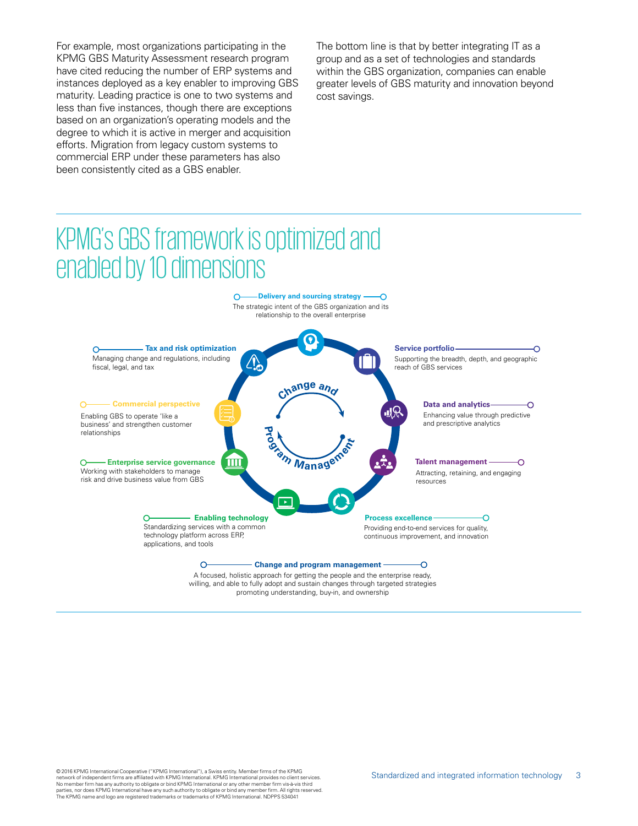For example, most organizations participating in the KPMG GBS Maturity Assessment research program have cited reducing the number of ERP systems and instances deployed as a key enabler to improving GBS maturity. Leading practice is one to two systems and less than five instances, though there are exceptions based on an organization's operating models and the degree to which it is active in merger and acquisition efforts. Migration from legacy custom systems to commercial ERP under these parameters has also been consistently cited as a GBS enabler.

The bottom line is that by better integrating IT as a group and as a set of technologies and standards within the GBS organization, companies can enable greater levels of GBS maturity and innovation beyond cost savings.

## KPMG's GBS framework is optimized and enabled by 10 dimensions



A focused, holistic approach for getting the people and the enterprise ready, willing, and able to fully adopt and sustain changes through targeted strategies promoting understanding, buy-in, and ownership

© 2016 KPMG International Cooperative ("KPMG International"), a Swiss entity. Member firms of the KPMG network of independent firms are affiliated with KPMG International. KPMG International provides no client services.<br>No member firm has any authority to obligate or bind KPMG International or any other member firm vis-à-vi The KPMG name and logo are registered trademarks or trademarks of KPMG International. NDPPS 534041